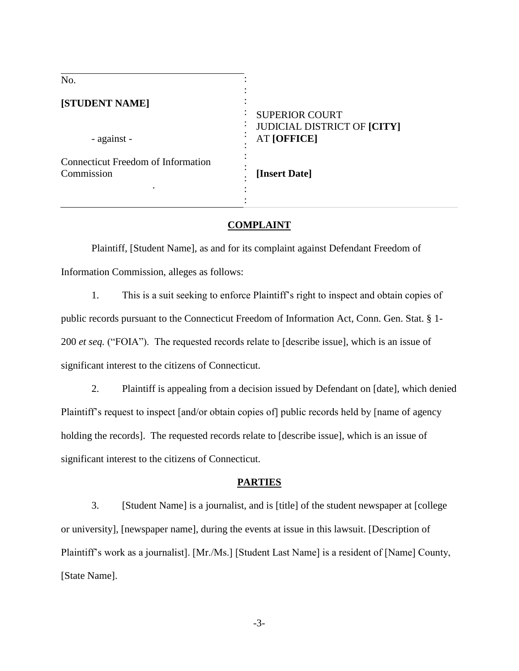| No.                                              |                                                                                   |
|--------------------------------------------------|-----------------------------------------------------------------------------------|
| [STUDENT NAME]<br>- against -                    | <b>SUPERIOR COURT</b><br><b>JUDICIAL DISTRICT OF [CITY]</b><br><b>AT [OFFICE]</b> |
| Connecticut Freedom of Information<br>Commission | [Insert Date]                                                                     |

### **COMPLAINT**

Plaintiff, [Student Name], as and for its complaint against Defendant Freedom of Information Commission, alleges as follows:

1. This is a suit seeking to enforce Plaintiff's right to inspect and obtain copies of public records pursuant to the Connecticut Freedom of Information Act, Conn. Gen. Stat. § 1- 200 *et seq.* ("FOIA"). The requested records relate to [describe issue], which is an issue of significant interest to the citizens of Connecticut.

2. Plaintiff is appealing from a decision issued by Defendant on [date], which denied Plaintiff's request to inspect [and/or obtain copies of] public records held by [name of agency holding the records]. The requested records relate to [describe issue], which is an issue of significant interest to the citizens of Connecticut.

# **PARTIES**

3. [Student Name] is a journalist, and is [title] of the student newspaper at [college or university], [newspaper name], during the events at issue in this lawsuit. [Description of Plaintiff's work as a journalist]. [Mr./Ms.] [Student Last Name] is a resident of [Name] County, [State Name].

-3-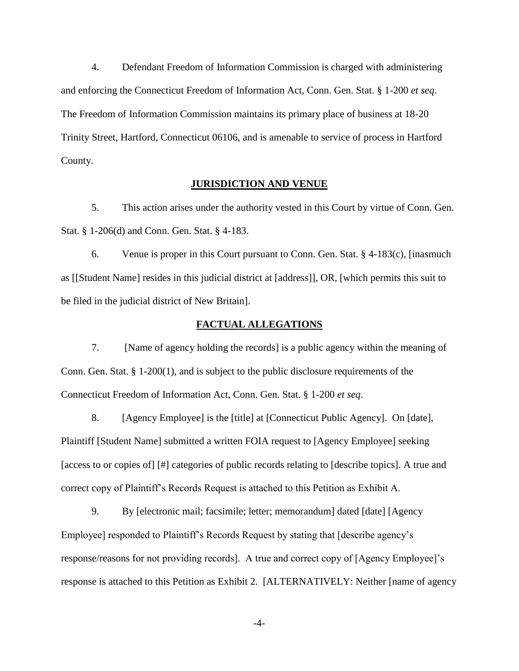4. Defendant Freedom of Information Commission is charged with administering and enforcing the Connecticut Freedom of Information Act, Conn. Gen. Stat. § 1-200 *et seq*. The Freedom of Information Commission maintains its primary place of business at 18-20 Trinity Street, Hartford, Connecticut 06106, and is amenable to service of process in Hartford County.

## **JURISDICTION AND VENUE**

5. This action arises under the authority vested in this Court by virtue of Conn. Gen. Stat. § 1-206(d) and Conn. Gen. Stat. § 4-183.

6. Venue is proper in this Court pursuant to Conn. Gen. Stat. § 4-183(c), [inasmuch as [[Student Name] resides in this judicial district at [address]], OR, [which permits this suit to be filed in the judicial district of New Britain].

## **FACTUAL ALLEGATIONS**

7. [Name of agency holding the records] is a public agency within the meaning of Conn. Gen. Stat. § 1-200(1), and is subject to the public disclosure requirements of the Connecticut Freedom of Information Act, Conn. Gen. Stat. § 1-200 *et seq*.

8. [Agency Employee] is the [title] at [Connecticut Public Agency]. On [date], Plaintiff [Student Name] submitted a written FOIA request to [Agency Employee] seeking [access to or copies of] [#] categories of public records relating to [describe topics]. A true and correct copy of Plaintiff's Records Request is attached to this Petition as Exhibit A.

9. By [electronic mail; facsimile; letter; memorandum] dated [date] [Agency Employee] responded to Plaintiff's Records Request by stating that [describe agency's response/reasons for not providing records]. A true and correct copy of [Agency Employee]'s response is attached to this Petition as Exhibit 2. [ALTERNATIVELY: Neither [name of agency

-4-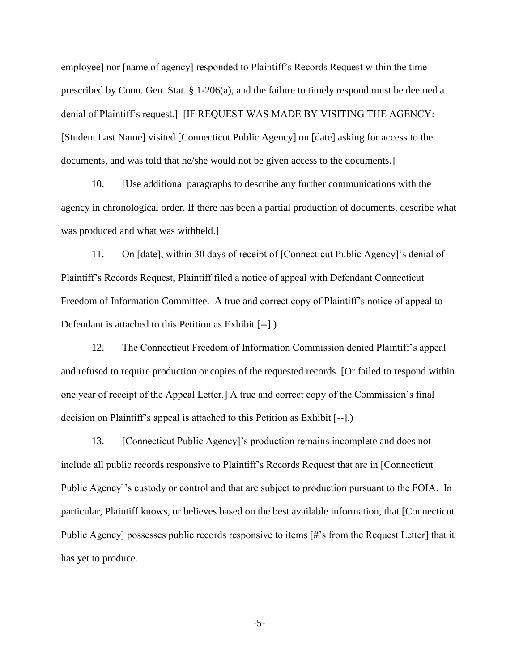employee] nor [name of agency] responded to Plaintiff's Records Request within the time prescribed by Conn. Gen. Stat. § 1-206(a), and the failure to timely respond must be deemed a denial of Plaintiff's request.] [IF REQUEST WAS MADE BY VISITING THE AGENCY: [Student Last Name] visited [Connecticut Public Agency] on [date] asking for access to the documents, and was told that he/she would not be given access to the documents.]

10. [Use additional paragraphs to describe any further communications with the agency in chronological order. If there has been a partial production of documents, describe what was produced and what was withheld.]

11. On [date], within 30 days of receipt of [Connecticut Public Agency]'s denial of Plaintiff's Records Request, Plaintiff filed a notice of appeal with Defendant Connecticut Freedom of Information Committee. A true and correct copy of Plaintiff's notice of appeal to Defendant is attached to this Petition as Exhibit [--].)

12. The Connecticut Freedom of Information Commission denied Plaintiff's appeal and refused to require production or copies of the requested records. [Or failed to respond within one year of receipt of the Appeal Letter.] A true and correct copy of the Commission's final decision on Plaintiff's appeal is attached to this Petition as Exhibit [--].)

13. [Connecticut Public Agency]'s production remains incomplete and does not include all public records responsive to Plaintiff's Records Request that are in [Connecticut Public Agency]'s custody or control and that are subject to production pursuant to the FOIA. In particular, Plaintiff knows, or believes based on the best available information, that [Connecticut Public Agency] possesses public records responsive to items [#'s from the Request Letter] that it has yet to produce.

-5-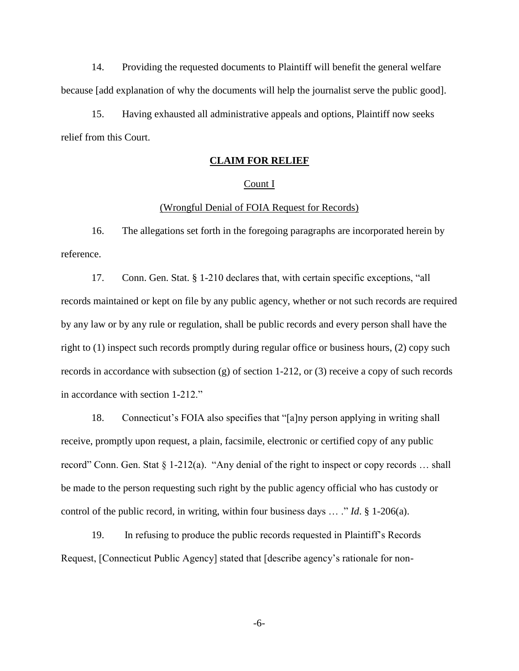14. Providing the requested documents to Plaintiff will benefit the general welfare because [add explanation of why the documents will help the journalist serve the public good].

15. Having exhausted all administrative appeals and options, Plaintiff now seeks relief from this Court.

# **CLAIM FOR RELIEF**

### Count I

### (Wrongful Denial of FOIA Request for Records)

16. The allegations set forth in the foregoing paragraphs are incorporated herein by reference.

17. Conn. Gen. Stat. § 1-210 declares that, with certain specific exceptions, "all records maintained or kept on file by any public agency, whether or not such records are required by any law or by any rule or regulation, shall be public records and every person shall have the right to (1) inspect such records promptly during regular office or business hours, (2) copy such records in accordance with subsection  $(g)$  of section 1-212, or  $(3)$  receive a copy of such records in accordance with section 1-212."

18. Connecticut's FOIA also specifies that "[a]ny person applying in writing shall receive, promptly upon request, a plain, facsimile, electronic or certified copy of any public record" Conn. Gen. Stat § 1-212(a). "Any denial of the right to inspect or copy records … shall be made to the person requesting such right by the public agency official who has custody or control of the public record, in writing, within four business days … ." *Id*. § 1-206(a).

19. In refusing to produce the public records requested in Plaintiff's Records Request, [Connecticut Public Agency] stated that [describe agency's rationale for non-

-6-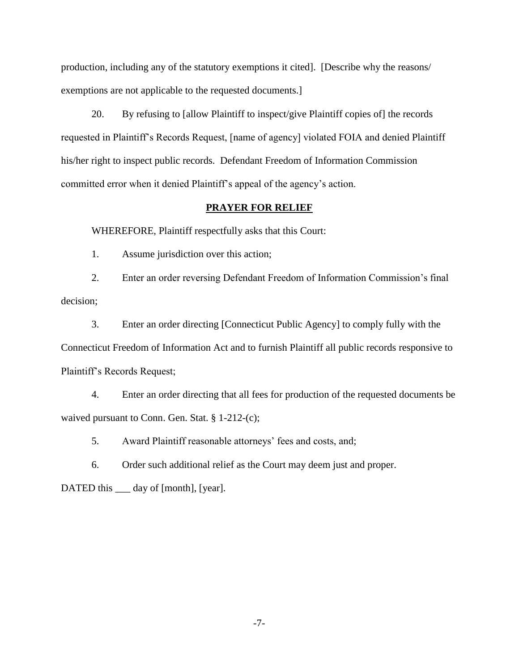production, including any of the statutory exemptions it cited]. [Describe why the reasons/ exemptions are not applicable to the requested documents.]

20. By refusing to [allow Plaintiff to inspect/give Plaintiff copies of] the records requested in Plaintiff's Records Request, [name of agency] violated FOIA and denied Plaintiff his/her right to inspect public records. Defendant Freedom of Information Commission committed error when it denied Plaintiff's appeal of the agency's action.

#### **PRAYER FOR RELIEF**

WHEREFORE, Plaintiff respectfully asks that this Court:

1. Assume jurisdiction over this action;

2. Enter an order reversing Defendant Freedom of Information Commission's final decision;

3. Enter an order directing [Connecticut Public Agency] to comply fully with the Connecticut Freedom of Information Act and to furnish Plaintiff all public records responsive to Plaintiff's Records Request;

4. Enter an order directing that all fees for production of the requested documents be waived pursuant to Conn. Gen. Stat. § 1-212-(c);

5. Award Plaintiff reasonable attorneys' fees and costs, and;

6. Order such additional relief as the Court may deem just and proper.

DATED this <u>equal</u> day of [month], [year].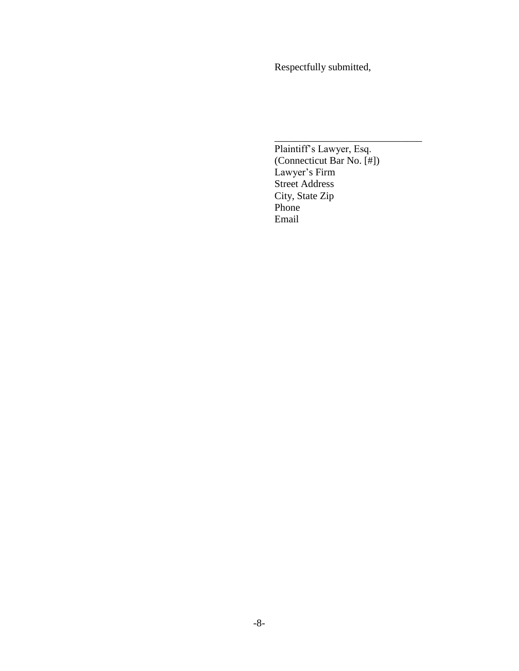Respectfully submitted,

Plaintiff's Lawyer, Esq. (Connecticut Bar No. [#]) Lawyer's Firm Street Address City, State Zip Phone Email

\_\_\_\_\_\_\_\_\_\_\_\_\_\_\_\_\_\_\_\_\_\_\_\_\_\_\_\_\_